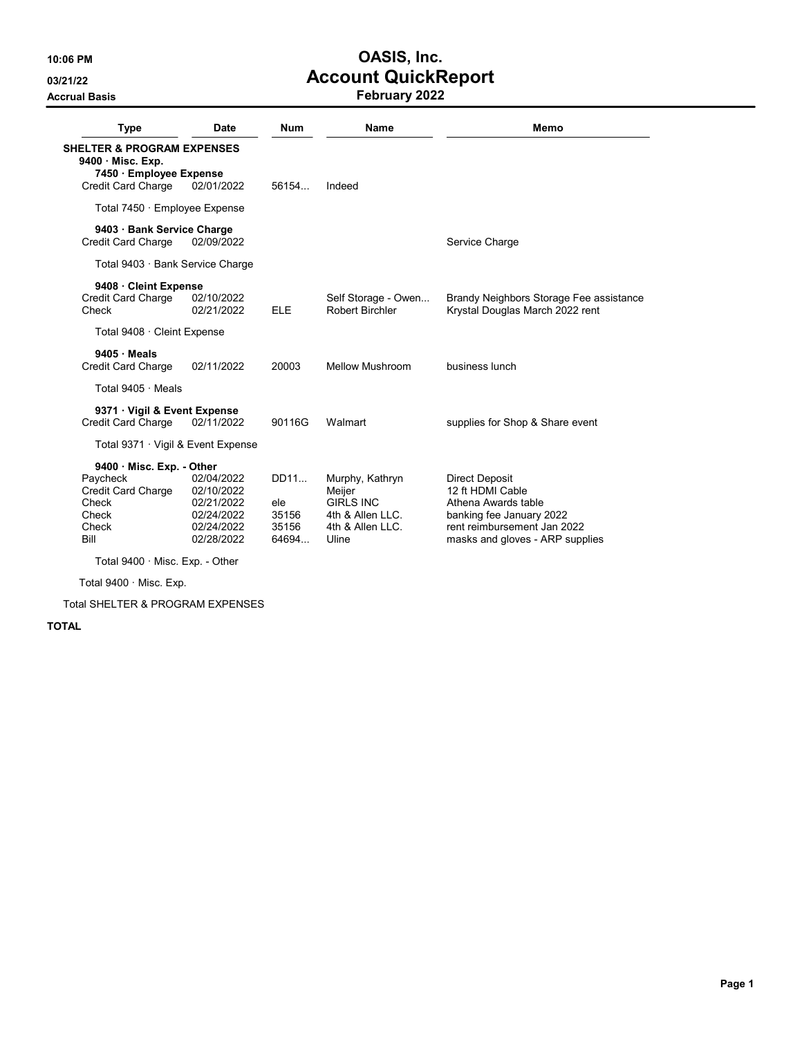## 10:06 PM OASIS, Inc. 03/21/22 **Account QuickReport** Accrual Basis **February 2022**

| <b>SHELTER &amp; PROGRAM EXPENSES</b><br>7450 · Employee Expense<br>02/01/2022                              | 56154                                  | Indeed                                                                                         |                                                                                                                                                         |
|-------------------------------------------------------------------------------------------------------------|----------------------------------------|------------------------------------------------------------------------------------------------|---------------------------------------------------------------------------------------------------------------------------------------------------------|
| Total 7450 · Employee Expense                                                                               |                                        |                                                                                                |                                                                                                                                                         |
| 9403 · Bank Service Charge<br>02/09/2022                                                                    |                                        |                                                                                                | Service Charge                                                                                                                                          |
| Total 9403 · Bank Service Charge                                                                            |                                        |                                                                                                |                                                                                                                                                         |
| 9408 Cleint Expense<br>02/10/2022<br>02/21/2022                                                             | <b>ELE</b>                             | Self Storage - Owen<br>Robert Birchler                                                         | Brandy Neighbors Storage Fee assistance<br>Krystal Douglas March 2022 rent                                                                              |
| Total 9408 · Cleint Expense                                                                                 |                                        |                                                                                                |                                                                                                                                                         |
| 02/11/2022                                                                                                  | 20003                                  | <b>Mellow Mushroom</b>                                                                         | business lunch                                                                                                                                          |
|                                                                                                             |                                        |                                                                                                |                                                                                                                                                         |
| 9371 Vigil & Event Expense<br>02/11/2022                                                                    | 90116G                                 | Walmart                                                                                        | supplies for Shop & Share event                                                                                                                         |
| Total 9371 · Vigil & Event Expense                                                                          |                                        |                                                                                                |                                                                                                                                                         |
| 9400 Misc. Exp. - Other<br>02/04/2022<br>02/10/2022<br>02/21/2022<br>02/24/2022<br>02/24/2022<br>02/28/2022 | DD11<br>ele<br>35156<br>35156<br>64694 | Murphy, Kathryn<br>Meijer<br><b>GIRLS INC</b><br>4th & Allen LLC.<br>4th & Allen LLC.<br>Uline | Direct Deposit<br>12 ft HDMI Cable<br>Athena Awards table<br>banking fee January 2022<br>rent reimbursement Jan 2022<br>masks and gloves - ARP supplies |
|                                                                                                             |                                        |                                                                                                |                                                                                                                                                         |

Total 9400 · Misc. Exp.

Total SHELTER & PROGRAM EXPENSES

TOTAL